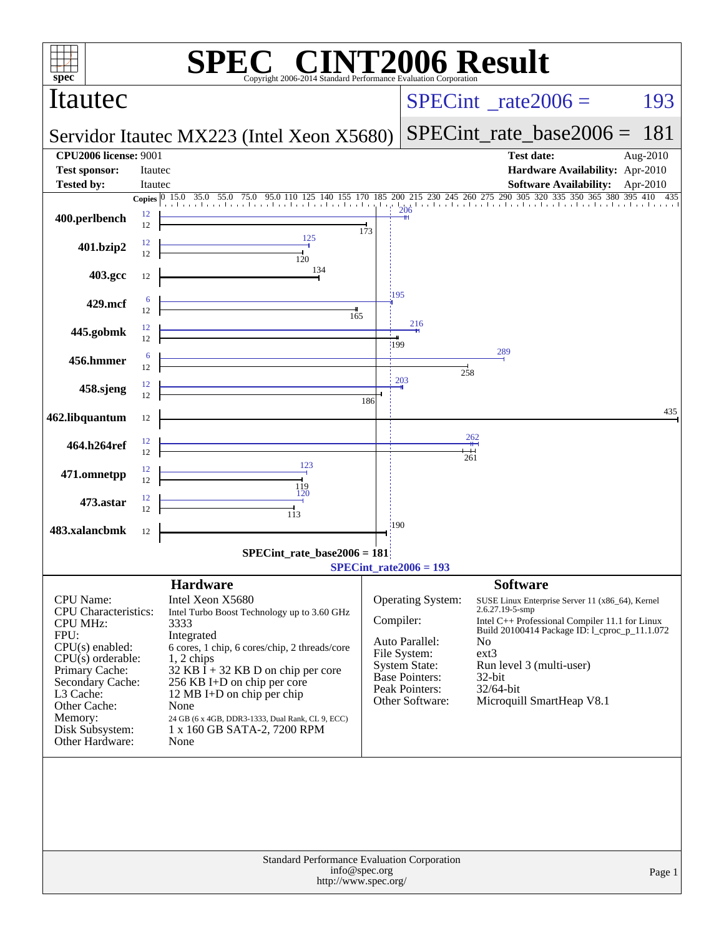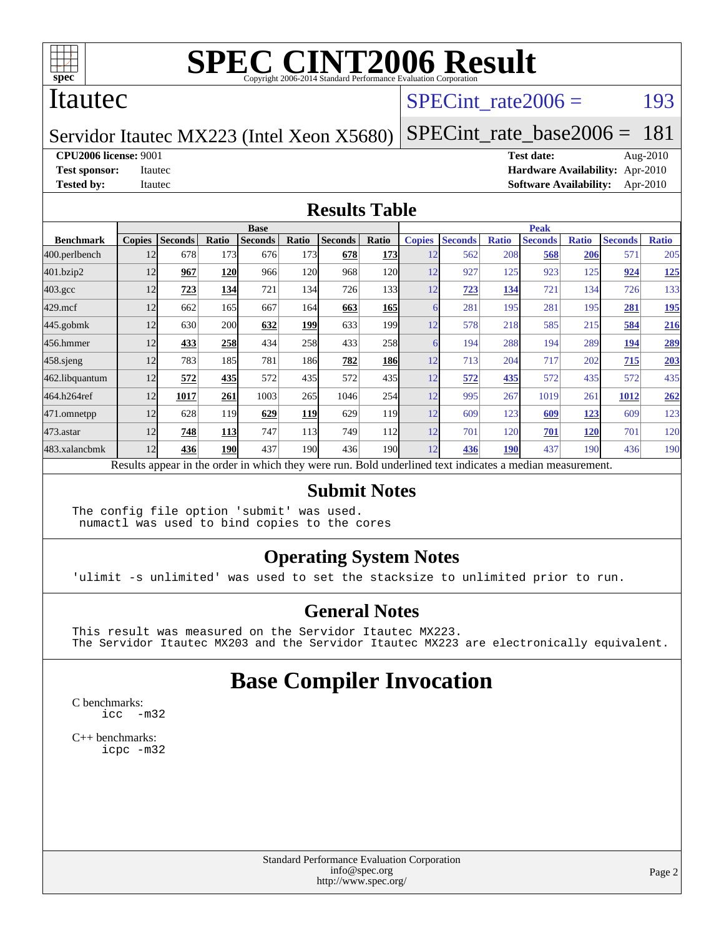

#### Itautec

### SPECint rate $2006 =$  193

#### Servidor Itautec MX223 (Intel Xeon X5680) [SPECint\\_rate\\_base2006 =](http://www.spec.org/auto/cpu2006/Docs/result-fields.html#SPECintratebase2006) 181

**[CPU2006 license:](http://www.spec.org/auto/cpu2006/Docs/result-fields.html#CPU2006license)** 9001 **[Test date:](http://www.spec.org/auto/cpu2006/Docs/result-fields.html#Testdate)** Aug-2010

**[Test sponsor:](http://www.spec.org/auto/cpu2006/Docs/result-fields.html#Testsponsor)** Itautec **[Hardware Availability:](http://www.spec.org/auto/cpu2006/Docs/result-fields.html#HardwareAvailability)** Apr-2010 **[Tested by:](http://www.spec.org/auto/cpu2006/Docs/result-fields.html#Testedby)** Itautec **[Software Availability:](http://www.spec.org/auto/cpu2006/Docs/result-fields.html#SoftwareAvailability)** Apr-2010

#### **[Results Table](http://www.spec.org/auto/cpu2006/Docs/result-fields.html#ResultsTable)**

|                    | <b>Base</b>   |                |       |                                                                                                          |                  |                |                  | <b>Peak</b>   |                |              |                |              |                |              |
|--------------------|---------------|----------------|-------|----------------------------------------------------------------------------------------------------------|------------------|----------------|------------------|---------------|----------------|--------------|----------------|--------------|----------------|--------------|
| <b>Benchmark</b>   | <b>Copies</b> | <b>Seconds</b> | Ratio | <b>Seconds</b>                                                                                           | Ratio            | <b>Seconds</b> | Ratio            | <b>Copies</b> | <b>Seconds</b> | <b>Ratio</b> | <b>Seconds</b> | <b>Ratio</b> | <b>Seconds</b> | <b>Ratio</b> |
| 400.perlbench      | 12            | 678            | 173   | 676                                                                                                      | 173              | 678            | 173              | 12            | 562            | 208          | 568            | 206          | 571            | 205          |
| 401.bzip2          | 12            | 967            | 120   | 966                                                                                                      | 120              | 968            | 120l             | 12            | 927            | 125          | 923            | 125          | 924            | <u>125</u>   |
| $403.\mathrm{gcc}$ | 12            | 723            | 134   | 721                                                                                                      | 134              | 726            | 133              | 12            | 723            | 134          | 721            | 134          | 726            | 133          |
| $429$ .mcf         | 12            | 662            | 165   | 667                                                                                                      | 164              | 663            | 165              | 6             | 281            | 195          | 281            | 195          | 281            | <u>195</u>   |
| $445$ .gobmk       | 12            | 630            | 200   | 632                                                                                                      | <u> 199</u>      | 633            | 199 <sub>1</sub> | 12            | 578            | 218          | 585            | 215          | 584            | 216          |
| 456.hmmer          | 12            | 433            | 258   | 434                                                                                                      | 258              | 433            | 258              | 6             | 194            | 288          | 194            | 289          | 194            | <u>289</u>   |
| $458$ .sjeng       | 12            | 783            | 185   | 781                                                                                                      | 186I             | 782            | <b>186</b>       | 12            | 713            | 204          | 717            | 202          | 715            | 203          |
| 462.libquantum     | 12            | 572            | 435   | 572                                                                                                      | 435              | 572            | 435 <sup>I</sup> | 12            | 572            | 435          | 572            | 435          | 572            | 435          |
| 464.h264ref        | 12            | 1017           | 261   | 1003                                                                                                     | 265              | 1046           | 254              | 12            | 995            | 267          | 1019           | 261          | 1012           | 262          |
| 471.omnetpp        | 12            | 628            | 119   | 629                                                                                                      | <b>119</b>       | 629            | 119              | 12            | 609            | 123          | 609            | 123          | 609            | 123          |
| $473$ . astar      | 12            | 748            | 113   | 747                                                                                                      | 113              | 749            | 112              | 12            | 701            | 120          | 701            | <b>120</b>   | 701            | 120          |
| 483.xalancbmk      | 12            | 436            | 190   | 437                                                                                                      | 190 <sup>1</sup> | 436            | 190 <b> </b>     | 12            | 436            | 190          | 437            | 190          | 436            | 190          |
|                    |               |                |       | Results appear in the order in which they were run. Bold underlined text indicates a median measurement. |                  |                |                  |               |                |              |                |              |                |              |

#### **[Submit Notes](http://www.spec.org/auto/cpu2006/Docs/result-fields.html#SubmitNotes)**

The config file option 'submit' was used. numactl was used to bind copies to the cores

#### **[Operating System Notes](http://www.spec.org/auto/cpu2006/Docs/result-fields.html#OperatingSystemNotes)**

'ulimit -s unlimited' was used to set the stacksize to unlimited prior to run.

#### **[General Notes](http://www.spec.org/auto/cpu2006/Docs/result-fields.html#GeneralNotes)**

This result was measured on the Servidor Itautec MX223. The Servidor Itautec MX203 and the Servidor Itautec MX223 are electronically equivalent.

### **[Base Compiler Invocation](http://www.spec.org/auto/cpu2006/Docs/result-fields.html#BaseCompilerInvocation)**

[C benchmarks](http://www.spec.org/auto/cpu2006/Docs/result-fields.html#Cbenchmarks): [icc -m32](http://www.spec.org/cpu2006/results/res2010q3/cpu2006-20100819-13018.flags.html#user_CCbase_intel_icc_32bit_5ff4a39e364c98233615fdd38438c6f2)

[C++ benchmarks:](http://www.spec.org/auto/cpu2006/Docs/result-fields.html#CXXbenchmarks) [icpc -m32](http://www.spec.org/cpu2006/results/res2010q3/cpu2006-20100819-13018.flags.html#user_CXXbase_intel_icpc_32bit_4e5a5ef1a53fd332b3c49e69c3330699)

> Standard Performance Evaluation Corporation [info@spec.org](mailto:info@spec.org) <http://www.spec.org/>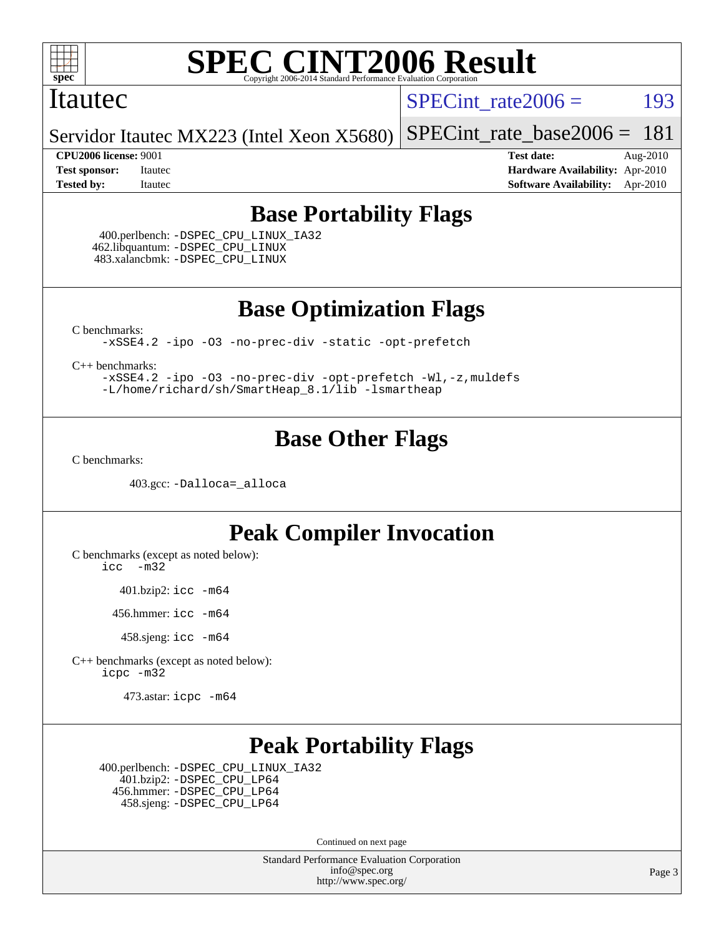

#### Itautec

SPECint rate $2006 =$  193

Servidor Itautec MX223 (Intel Xeon X5680) [SPECint\\_rate\\_base2006 =](http://www.spec.org/auto/cpu2006/Docs/result-fields.html#SPECintratebase2006) 181

**[CPU2006 license:](http://www.spec.org/auto/cpu2006/Docs/result-fields.html#CPU2006license)** 9001 **[Test date:](http://www.spec.org/auto/cpu2006/Docs/result-fields.html#Testdate)** Aug-2010 **[Test sponsor:](http://www.spec.org/auto/cpu2006/Docs/result-fields.html#Testsponsor)** Itautec **[Hardware Availability:](http://www.spec.org/auto/cpu2006/Docs/result-fields.html#HardwareAvailability)** Apr-2010 **[Tested by:](http://www.spec.org/auto/cpu2006/Docs/result-fields.html#Testedby)** Itautec **[Software Availability:](http://www.spec.org/auto/cpu2006/Docs/result-fields.html#SoftwareAvailability)** Apr-2010

### **[Base Portability Flags](http://www.spec.org/auto/cpu2006/Docs/result-fields.html#BasePortabilityFlags)**

 400.perlbench: [-DSPEC\\_CPU\\_LINUX\\_IA32](http://www.spec.org/cpu2006/results/res2010q3/cpu2006-20100819-13018.flags.html#b400.perlbench_baseCPORTABILITY_DSPEC_CPU_LINUX_IA32) 462.libquantum: [-DSPEC\\_CPU\\_LINUX](http://www.spec.org/cpu2006/results/res2010q3/cpu2006-20100819-13018.flags.html#b462.libquantum_baseCPORTABILITY_DSPEC_CPU_LINUX) 483.xalancbmk: [-DSPEC\\_CPU\\_LINUX](http://www.spec.org/cpu2006/results/res2010q3/cpu2006-20100819-13018.flags.html#b483.xalancbmk_baseCXXPORTABILITY_DSPEC_CPU_LINUX)

**[Base Optimization Flags](http://www.spec.org/auto/cpu2006/Docs/result-fields.html#BaseOptimizationFlags)**

[C benchmarks](http://www.spec.org/auto/cpu2006/Docs/result-fields.html#Cbenchmarks):

[-xSSE4.2](http://www.spec.org/cpu2006/results/res2010q3/cpu2006-20100819-13018.flags.html#user_CCbase_f-xSSE42_f91528193cf0b216347adb8b939d4107) [-ipo](http://www.spec.org/cpu2006/results/res2010q3/cpu2006-20100819-13018.flags.html#user_CCbase_f-ipo) [-O3](http://www.spec.org/cpu2006/results/res2010q3/cpu2006-20100819-13018.flags.html#user_CCbase_f-O3) [-no-prec-div](http://www.spec.org/cpu2006/results/res2010q3/cpu2006-20100819-13018.flags.html#user_CCbase_f-no-prec-div) [-static](http://www.spec.org/cpu2006/results/res2010q3/cpu2006-20100819-13018.flags.html#user_CCbase_f-static) [-opt-prefetch](http://www.spec.org/cpu2006/results/res2010q3/cpu2006-20100819-13018.flags.html#user_CCbase_f-opt-prefetch)

[C++ benchmarks:](http://www.spec.org/auto/cpu2006/Docs/result-fields.html#CXXbenchmarks)

[-xSSE4.2](http://www.spec.org/cpu2006/results/res2010q3/cpu2006-20100819-13018.flags.html#user_CXXbase_f-xSSE42_f91528193cf0b216347adb8b939d4107) [-ipo](http://www.spec.org/cpu2006/results/res2010q3/cpu2006-20100819-13018.flags.html#user_CXXbase_f-ipo) [-O3](http://www.spec.org/cpu2006/results/res2010q3/cpu2006-20100819-13018.flags.html#user_CXXbase_f-O3) [-no-prec-div](http://www.spec.org/cpu2006/results/res2010q3/cpu2006-20100819-13018.flags.html#user_CXXbase_f-no-prec-div) [-opt-prefetch](http://www.spec.org/cpu2006/results/res2010q3/cpu2006-20100819-13018.flags.html#user_CXXbase_f-opt-prefetch) [-Wl,-z,muldefs](http://www.spec.org/cpu2006/results/res2010q3/cpu2006-20100819-13018.flags.html#user_CXXbase_link_force_multiple1_74079c344b956b9658436fd1b6dd3a8a) [-L/home/richard/sh/SmartHeap\\_8.1/lib -lsmartheap](http://www.spec.org/cpu2006/results/res2010q3/cpu2006-20100819-13018.flags.html#user_CXXbase_SmartHeap_ca89174614665f48817f3d388ddc383c)

## **[Base Other Flags](http://www.spec.org/auto/cpu2006/Docs/result-fields.html#BaseOtherFlags)**

[C benchmarks](http://www.spec.org/auto/cpu2006/Docs/result-fields.html#Cbenchmarks):

403.gcc: [-Dalloca=\\_alloca](http://www.spec.org/cpu2006/results/res2010q3/cpu2006-20100819-13018.flags.html#b403.gcc_baseEXTRA_CFLAGS_Dalloca_be3056838c12de2578596ca5467af7f3)

### **[Peak Compiler Invocation](http://www.spec.org/auto/cpu2006/Docs/result-fields.html#PeakCompilerInvocation)**

[C benchmarks \(except as noted below\)](http://www.spec.org/auto/cpu2006/Docs/result-fields.html#Cbenchmarksexceptasnotedbelow):

[icc -m32](http://www.spec.org/cpu2006/results/res2010q3/cpu2006-20100819-13018.flags.html#user_CCpeak_intel_icc_32bit_5ff4a39e364c98233615fdd38438c6f2)

401.bzip2: [icc -m64](http://www.spec.org/cpu2006/results/res2010q3/cpu2006-20100819-13018.flags.html#user_peakCCLD401_bzip2_intel_icc_64bit_bda6cc9af1fdbb0edc3795bac97ada53)

456.hmmer: [icc -m64](http://www.spec.org/cpu2006/results/res2010q3/cpu2006-20100819-13018.flags.html#user_peakCCLD456_hmmer_intel_icc_64bit_bda6cc9af1fdbb0edc3795bac97ada53)

458.sjeng: [icc -m64](http://www.spec.org/cpu2006/results/res2010q3/cpu2006-20100819-13018.flags.html#user_peakCCLD458_sjeng_intel_icc_64bit_bda6cc9af1fdbb0edc3795bac97ada53)

[C++ benchmarks \(except as noted below\):](http://www.spec.org/auto/cpu2006/Docs/result-fields.html#CXXbenchmarksexceptasnotedbelow) [icpc -m32](http://www.spec.org/cpu2006/results/res2010q3/cpu2006-20100819-13018.flags.html#user_CXXpeak_intel_icpc_32bit_4e5a5ef1a53fd332b3c49e69c3330699)

473.astar: [icpc -m64](http://www.spec.org/cpu2006/results/res2010q3/cpu2006-20100819-13018.flags.html#user_peakCXXLD473_astar_intel_icpc_64bit_fc66a5337ce925472a5c54ad6a0de310)

## **[Peak Portability Flags](http://www.spec.org/auto/cpu2006/Docs/result-fields.html#PeakPortabilityFlags)**

 400.perlbench: [-DSPEC\\_CPU\\_LINUX\\_IA32](http://www.spec.org/cpu2006/results/res2010q3/cpu2006-20100819-13018.flags.html#b400.perlbench_peakCPORTABILITY_DSPEC_CPU_LINUX_IA32) 401.bzip2: [-DSPEC\\_CPU\\_LP64](http://www.spec.org/cpu2006/results/res2010q3/cpu2006-20100819-13018.flags.html#suite_peakCPORTABILITY401_bzip2_DSPEC_CPU_LP64) 456.hmmer: [-DSPEC\\_CPU\\_LP64](http://www.spec.org/cpu2006/results/res2010q3/cpu2006-20100819-13018.flags.html#suite_peakCPORTABILITY456_hmmer_DSPEC_CPU_LP64) 458.sjeng: [-DSPEC\\_CPU\\_LP64](http://www.spec.org/cpu2006/results/res2010q3/cpu2006-20100819-13018.flags.html#suite_peakCPORTABILITY458_sjeng_DSPEC_CPU_LP64)

Continued on next page

Standard Performance Evaluation Corporation [info@spec.org](mailto:info@spec.org) <http://www.spec.org/>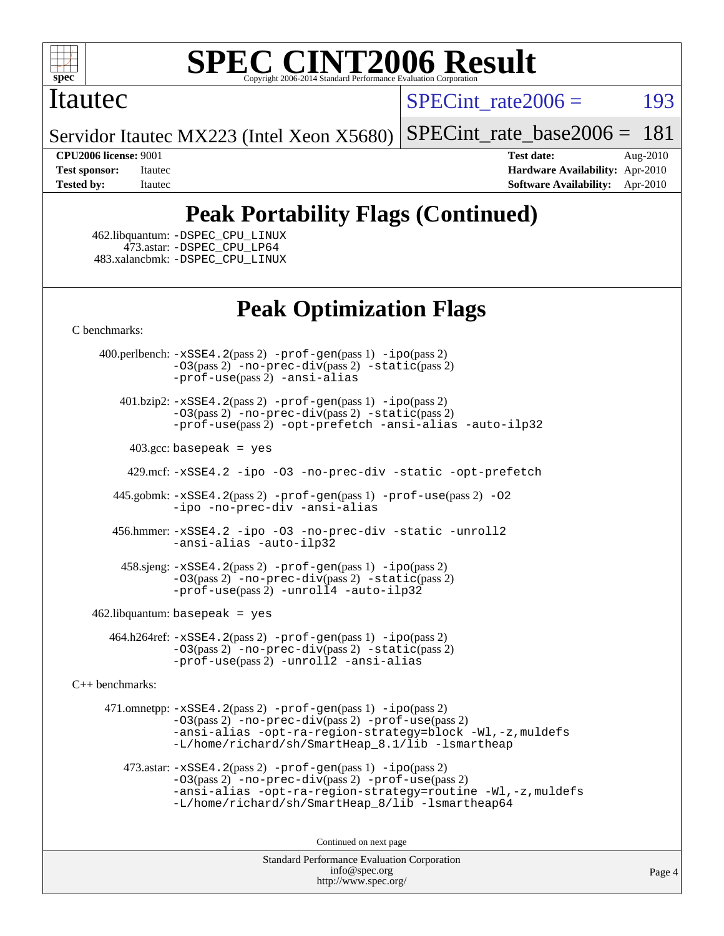

#### Itautec

SPECint rate $2006 =$  193

Servidor Itautec MX223 (Intel Xeon X5680)

[SPECint\\_rate\\_base2006 =](http://www.spec.org/auto/cpu2006/Docs/result-fields.html#SPECintratebase2006) 181

**[CPU2006 license:](http://www.spec.org/auto/cpu2006/Docs/result-fields.html#CPU2006license)** 9001 **[Test date:](http://www.spec.org/auto/cpu2006/Docs/result-fields.html#Testdate)** Aug-2010 **[Test sponsor:](http://www.spec.org/auto/cpu2006/Docs/result-fields.html#Testsponsor)** Itautec **[Hardware Availability:](http://www.spec.org/auto/cpu2006/Docs/result-fields.html#HardwareAvailability)** Apr-2010 **[Tested by:](http://www.spec.org/auto/cpu2006/Docs/result-fields.html#Testedby)** Itautec **[Software Availability:](http://www.spec.org/auto/cpu2006/Docs/result-fields.html#SoftwareAvailability)** Apr-2010

## **[Peak Portability Flags \(Continued\)](http://www.spec.org/auto/cpu2006/Docs/result-fields.html#PeakPortabilityFlags)**

 462.libquantum: [-DSPEC\\_CPU\\_LINUX](http://www.spec.org/cpu2006/results/res2010q3/cpu2006-20100819-13018.flags.html#b462.libquantum_peakCPORTABILITY_DSPEC_CPU_LINUX) 473.astar: [-DSPEC\\_CPU\\_LP64](http://www.spec.org/cpu2006/results/res2010q3/cpu2006-20100819-13018.flags.html#suite_peakCXXPORTABILITY473_astar_DSPEC_CPU_LP64) 483.xalancbmk: [-DSPEC\\_CPU\\_LINUX](http://www.spec.org/cpu2006/results/res2010q3/cpu2006-20100819-13018.flags.html#b483.xalancbmk_peakCXXPORTABILITY_DSPEC_CPU_LINUX)

## **[Peak Optimization Flags](http://www.spec.org/auto/cpu2006/Docs/result-fields.html#PeakOptimizationFlags)**

[C benchmarks](http://www.spec.org/auto/cpu2006/Docs/result-fields.html#Cbenchmarks):

 400.perlbench: [-xSSE4.2](http://www.spec.org/cpu2006/results/res2010q3/cpu2006-20100819-13018.flags.html#user_peakPASS2_CFLAGSPASS2_LDCFLAGS400_perlbench_f-xSSE42_f91528193cf0b216347adb8b939d4107)(pass 2) [-prof-gen](http://www.spec.org/cpu2006/results/res2010q3/cpu2006-20100819-13018.flags.html#user_peakPASS1_CFLAGSPASS1_LDCFLAGS400_perlbench_prof_gen_e43856698f6ca7b7e442dfd80e94a8fc)(pass 1) [-ipo](http://www.spec.org/cpu2006/results/res2010q3/cpu2006-20100819-13018.flags.html#user_peakPASS2_CFLAGSPASS2_LDCFLAGS400_perlbench_f-ipo)(pass 2) [-O3](http://www.spec.org/cpu2006/results/res2010q3/cpu2006-20100819-13018.flags.html#user_peakPASS2_CFLAGSPASS2_LDCFLAGS400_perlbench_f-O3)(pass 2) [-no-prec-div](http://www.spec.org/cpu2006/results/res2010q3/cpu2006-20100819-13018.flags.html#user_peakPASS2_CFLAGSPASS2_LDCFLAGS400_perlbench_f-no-prec-div)(pass 2) [-static](http://www.spec.org/cpu2006/results/res2010q3/cpu2006-20100819-13018.flags.html#user_peakPASS2_CFLAGSPASS2_LDCFLAGS400_perlbench_f-static)(pass 2) [-prof-use](http://www.spec.org/cpu2006/results/res2010q3/cpu2006-20100819-13018.flags.html#user_peakPASS2_CFLAGSPASS2_LDCFLAGS400_perlbench_prof_use_bccf7792157ff70d64e32fe3e1250b55)(pass 2) [-ansi-alias](http://www.spec.org/cpu2006/results/res2010q3/cpu2006-20100819-13018.flags.html#user_peakCOPTIMIZE400_perlbench_f-ansi-alias)

 401.bzip2: [-xSSE4.2](http://www.spec.org/cpu2006/results/res2010q3/cpu2006-20100819-13018.flags.html#user_peakPASS2_CFLAGSPASS2_LDCFLAGS401_bzip2_f-xSSE42_f91528193cf0b216347adb8b939d4107)(pass 2) [-prof-gen](http://www.spec.org/cpu2006/results/res2010q3/cpu2006-20100819-13018.flags.html#user_peakPASS1_CFLAGSPASS1_LDCFLAGS401_bzip2_prof_gen_e43856698f6ca7b7e442dfd80e94a8fc)(pass 1) [-ipo](http://www.spec.org/cpu2006/results/res2010q3/cpu2006-20100819-13018.flags.html#user_peakPASS2_CFLAGSPASS2_LDCFLAGS401_bzip2_f-ipo)(pass 2) [-O3](http://www.spec.org/cpu2006/results/res2010q3/cpu2006-20100819-13018.flags.html#user_peakPASS2_CFLAGSPASS2_LDCFLAGS401_bzip2_f-O3)(pass 2) [-no-prec-div](http://www.spec.org/cpu2006/results/res2010q3/cpu2006-20100819-13018.flags.html#user_peakPASS2_CFLAGSPASS2_LDCFLAGS401_bzip2_f-no-prec-div)(pass 2) [-static](http://www.spec.org/cpu2006/results/res2010q3/cpu2006-20100819-13018.flags.html#user_peakPASS2_CFLAGSPASS2_LDCFLAGS401_bzip2_f-static)(pass 2) [-prof-use](http://www.spec.org/cpu2006/results/res2010q3/cpu2006-20100819-13018.flags.html#user_peakPASS2_CFLAGSPASS2_LDCFLAGS401_bzip2_prof_use_bccf7792157ff70d64e32fe3e1250b55)(pass 2) [-opt-prefetch](http://www.spec.org/cpu2006/results/res2010q3/cpu2006-20100819-13018.flags.html#user_peakCOPTIMIZE401_bzip2_f-opt-prefetch) [-ansi-alias](http://www.spec.org/cpu2006/results/res2010q3/cpu2006-20100819-13018.flags.html#user_peakCOPTIMIZE401_bzip2_f-ansi-alias) [-auto-ilp32](http://www.spec.org/cpu2006/results/res2010q3/cpu2006-20100819-13018.flags.html#user_peakCOPTIMIZE401_bzip2_f-auto-ilp32)

 $403.\text{gcc: basepeak}$  = yes

429.mcf: [-xSSE4.2](http://www.spec.org/cpu2006/results/res2010q3/cpu2006-20100819-13018.flags.html#user_peakCOPTIMIZE429_mcf_f-xSSE42_f91528193cf0b216347adb8b939d4107) [-ipo](http://www.spec.org/cpu2006/results/res2010q3/cpu2006-20100819-13018.flags.html#user_peakCOPTIMIZE429_mcf_f-ipo) [-O3](http://www.spec.org/cpu2006/results/res2010q3/cpu2006-20100819-13018.flags.html#user_peakCOPTIMIZE429_mcf_f-O3) [-no-prec-div](http://www.spec.org/cpu2006/results/res2010q3/cpu2006-20100819-13018.flags.html#user_peakCOPTIMIZE429_mcf_f-no-prec-div) [-static](http://www.spec.org/cpu2006/results/res2010q3/cpu2006-20100819-13018.flags.html#user_peakCOPTIMIZE429_mcf_f-static) [-opt-prefetch](http://www.spec.org/cpu2006/results/res2010q3/cpu2006-20100819-13018.flags.html#user_peakCOPTIMIZE429_mcf_f-opt-prefetch)

 445.gobmk: [-xSSE4.2](http://www.spec.org/cpu2006/results/res2010q3/cpu2006-20100819-13018.flags.html#user_peakPASS2_CFLAGSPASS2_LDCFLAGS445_gobmk_f-xSSE42_f91528193cf0b216347adb8b939d4107)(pass 2) [-prof-gen](http://www.spec.org/cpu2006/results/res2010q3/cpu2006-20100819-13018.flags.html#user_peakPASS1_CFLAGSPASS1_LDCFLAGS445_gobmk_prof_gen_e43856698f6ca7b7e442dfd80e94a8fc)(pass 1) [-prof-use](http://www.spec.org/cpu2006/results/res2010q3/cpu2006-20100819-13018.flags.html#user_peakPASS2_CFLAGSPASS2_LDCFLAGS445_gobmk_prof_use_bccf7792157ff70d64e32fe3e1250b55)(pass 2) [-O2](http://www.spec.org/cpu2006/results/res2010q3/cpu2006-20100819-13018.flags.html#user_peakCOPTIMIZE445_gobmk_f-O2) [-ipo](http://www.spec.org/cpu2006/results/res2010q3/cpu2006-20100819-13018.flags.html#user_peakCOPTIMIZE445_gobmk_f-ipo) [-no-prec-div](http://www.spec.org/cpu2006/results/res2010q3/cpu2006-20100819-13018.flags.html#user_peakCOPTIMIZE445_gobmk_f-no-prec-div) [-ansi-alias](http://www.spec.org/cpu2006/results/res2010q3/cpu2006-20100819-13018.flags.html#user_peakCOPTIMIZE445_gobmk_f-ansi-alias)

 456.hmmer: [-xSSE4.2](http://www.spec.org/cpu2006/results/res2010q3/cpu2006-20100819-13018.flags.html#user_peakCOPTIMIZE456_hmmer_f-xSSE42_f91528193cf0b216347adb8b939d4107) [-ipo](http://www.spec.org/cpu2006/results/res2010q3/cpu2006-20100819-13018.flags.html#user_peakCOPTIMIZE456_hmmer_f-ipo) [-O3](http://www.spec.org/cpu2006/results/res2010q3/cpu2006-20100819-13018.flags.html#user_peakCOPTIMIZE456_hmmer_f-O3) [-no-prec-div](http://www.spec.org/cpu2006/results/res2010q3/cpu2006-20100819-13018.flags.html#user_peakCOPTIMIZE456_hmmer_f-no-prec-div) [-static](http://www.spec.org/cpu2006/results/res2010q3/cpu2006-20100819-13018.flags.html#user_peakCOPTIMIZE456_hmmer_f-static) [-unroll2](http://www.spec.org/cpu2006/results/res2010q3/cpu2006-20100819-13018.flags.html#user_peakCOPTIMIZE456_hmmer_f-unroll_784dae83bebfb236979b41d2422d7ec2) [-ansi-alias](http://www.spec.org/cpu2006/results/res2010q3/cpu2006-20100819-13018.flags.html#user_peakCOPTIMIZE456_hmmer_f-ansi-alias) [-auto-ilp32](http://www.spec.org/cpu2006/results/res2010q3/cpu2006-20100819-13018.flags.html#user_peakCOPTIMIZE456_hmmer_f-auto-ilp32)

 458.sjeng: [-xSSE4.2](http://www.spec.org/cpu2006/results/res2010q3/cpu2006-20100819-13018.flags.html#user_peakPASS2_CFLAGSPASS2_LDCFLAGS458_sjeng_f-xSSE42_f91528193cf0b216347adb8b939d4107)(pass 2) [-prof-gen](http://www.spec.org/cpu2006/results/res2010q3/cpu2006-20100819-13018.flags.html#user_peakPASS1_CFLAGSPASS1_LDCFLAGS458_sjeng_prof_gen_e43856698f6ca7b7e442dfd80e94a8fc)(pass 1) [-ipo](http://www.spec.org/cpu2006/results/res2010q3/cpu2006-20100819-13018.flags.html#user_peakPASS2_CFLAGSPASS2_LDCFLAGS458_sjeng_f-ipo)(pass 2) [-O3](http://www.spec.org/cpu2006/results/res2010q3/cpu2006-20100819-13018.flags.html#user_peakPASS2_CFLAGSPASS2_LDCFLAGS458_sjeng_f-O3)(pass 2) [-no-prec-div](http://www.spec.org/cpu2006/results/res2010q3/cpu2006-20100819-13018.flags.html#user_peakPASS2_CFLAGSPASS2_LDCFLAGS458_sjeng_f-no-prec-div)(pass 2) [-static](http://www.spec.org/cpu2006/results/res2010q3/cpu2006-20100819-13018.flags.html#user_peakPASS2_CFLAGSPASS2_LDCFLAGS458_sjeng_f-static)(pass 2)  $-prof-use(pass 2) -unroll4 -auto-ilp32$  $-prof-use(pass 2) -unroll4 -auto-ilp32$  $-prof-use(pass 2) -unroll4 -auto-ilp32$  $-prof-use(pass 2) -unroll4 -auto-ilp32$  $-prof-use(pass 2) -unroll4 -auto-ilp32$ 

462.libquantum: basepeak = yes

 464.h264ref: [-xSSE4.2](http://www.spec.org/cpu2006/results/res2010q3/cpu2006-20100819-13018.flags.html#user_peakPASS2_CFLAGSPASS2_LDCFLAGS464_h264ref_f-xSSE42_f91528193cf0b216347adb8b939d4107)(pass 2) [-prof-gen](http://www.spec.org/cpu2006/results/res2010q3/cpu2006-20100819-13018.flags.html#user_peakPASS1_CFLAGSPASS1_LDCFLAGS464_h264ref_prof_gen_e43856698f6ca7b7e442dfd80e94a8fc)(pass 1) [-ipo](http://www.spec.org/cpu2006/results/res2010q3/cpu2006-20100819-13018.flags.html#user_peakPASS2_CFLAGSPASS2_LDCFLAGS464_h264ref_f-ipo)(pass 2) [-O3](http://www.spec.org/cpu2006/results/res2010q3/cpu2006-20100819-13018.flags.html#user_peakPASS2_CFLAGSPASS2_LDCFLAGS464_h264ref_f-O3)(pass 2) [-no-prec-div](http://www.spec.org/cpu2006/results/res2010q3/cpu2006-20100819-13018.flags.html#user_peakPASS2_CFLAGSPASS2_LDCFLAGS464_h264ref_f-no-prec-div)(pass 2) [-static](http://www.spec.org/cpu2006/results/res2010q3/cpu2006-20100819-13018.flags.html#user_peakPASS2_CFLAGSPASS2_LDCFLAGS464_h264ref_f-static)(pass 2) [-prof-use](http://www.spec.org/cpu2006/results/res2010q3/cpu2006-20100819-13018.flags.html#user_peakPASS2_CFLAGSPASS2_LDCFLAGS464_h264ref_prof_use_bccf7792157ff70d64e32fe3e1250b55)(pass 2) [-unroll2](http://www.spec.org/cpu2006/results/res2010q3/cpu2006-20100819-13018.flags.html#user_peakCOPTIMIZE464_h264ref_f-unroll_784dae83bebfb236979b41d2422d7ec2) [-ansi-alias](http://www.spec.org/cpu2006/results/res2010q3/cpu2006-20100819-13018.flags.html#user_peakCOPTIMIZE464_h264ref_f-ansi-alias)

[C++ benchmarks:](http://www.spec.org/auto/cpu2006/Docs/result-fields.html#CXXbenchmarks)

 471.omnetpp: [-xSSE4.2](http://www.spec.org/cpu2006/results/res2010q3/cpu2006-20100819-13018.flags.html#user_peakPASS2_CXXFLAGSPASS2_LDCXXFLAGS471_omnetpp_f-xSSE42_f91528193cf0b216347adb8b939d4107)(pass 2) [-prof-gen](http://www.spec.org/cpu2006/results/res2010q3/cpu2006-20100819-13018.flags.html#user_peakPASS1_CXXFLAGSPASS1_LDCXXFLAGS471_omnetpp_prof_gen_e43856698f6ca7b7e442dfd80e94a8fc)(pass 1) [-ipo](http://www.spec.org/cpu2006/results/res2010q3/cpu2006-20100819-13018.flags.html#user_peakPASS2_CXXFLAGSPASS2_LDCXXFLAGS471_omnetpp_f-ipo)(pass 2) [-O3](http://www.spec.org/cpu2006/results/res2010q3/cpu2006-20100819-13018.flags.html#user_peakPASS2_CXXFLAGSPASS2_LDCXXFLAGS471_omnetpp_f-O3)(pass 2) [-no-prec-div](http://www.spec.org/cpu2006/results/res2010q3/cpu2006-20100819-13018.flags.html#user_peakPASS2_CXXFLAGSPASS2_LDCXXFLAGS471_omnetpp_f-no-prec-div)(pass 2) [-prof-use](http://www.spec.org/cpu2006/results/res2010q3/cpu2006-20100819-13018.flags.html#user_peakPASS2_CXXFLAGSPASS2_LDCXXFLAGS471_omnetpp_prof_use_bccf7792157ff70d64e32fe3e1250b55)(pass 2) [-ansi-alias](http://www.spec.org/cpu2006/results/res2010q3/cpu2006-20100819-13018.flags.html#user_peakCXXOPTIMIZE471_omnetpp_f-ansi-alias) [-opt-ra-region-strategy=block](http://www.spec.org/cpu2006/results/res2010q3/cpu2006-20100819-13018.flags.html#user_peakCXXOPTIMIZE471_omnetpp_f-opt-ra-region-strategy-block_a0a37c372d03933b2a18d4af463c1f69) [-Wl,-z,muldefs](http://www.spec.org/cpu2006/results/res2010q3/cpu2006-20100819-13018.flags.html#user_peakEXTRA_LDFLAGS471_omnetpp_link_force_multiple1_74079c344b956b9658436fd1b6dd3a8a) [-L/home/richard/sh/SmartHeap\\_8.1/lib -lsmartheap](http://www.spec.org/cpu2006/results/res2010q3/cpu2006-20100819-13018.flags.html#user_peakEXTRA_LIBS471_omnetpp_SmartHeap_ca89174614665f48817f3d388ddc383c)

473.astar:  $-xSSE4$ . 2(pass 2)  $-prof-gen(pass 1) -ipo(pass 2)$  $-prof-gen(pass 1) -ipo(pass 2)$  $-prof-gen(pass 1) -ipo(pass 2)$  $-prof-gen(pass 1) -ipo(pass 2)$ [-O3](http://www.spec.org/cpu2006/results/res2010q3/cpu2006-20100819-13018.flags.html#user_peakPASS2_CXXFLAGSPASS2_LDCXXFLAGS473_astar_f-O3)(pass 2) [-no-prec-div](http://www.spec.org/cpu2006/results/res2010q3/cpu2006-20100819-13018.flags.html#user_peakPASS2_CXXFLAGSPASS2_LDCXXFLAGS473_astar_f-no-prec-div)(pass 2) [-prof-use](http://www.spec.org/cpu2006/results/res2010q3/cpu2006-20100819-13018.flags.html#user_peakPASS2_CXXFLAGSPASS2_LDCXXFLAGS473_astar_prof_use_bccf7792157ff70d64e32fe3e1250b55)(pass 2) [-ansi-alias](http://www.spec.org/cpu2006/results/res2010q3/cpu2006-20100819-13018.flags.html#user_peakCXXOPTIMIZE473_astar_f-ansi-alias) [-opt-ra-region-strategy=routine](http://www.spec.org/cpu2006/results/res2010q3/cpu2006-20100819-13018.flags.html#user_peakCXXOPTIMIZE473_astar_f-opt-ra-region-strategy-routine_ba086ea3b1d46a52e1238e2ca173ed44) [-Wl,-z,muldefs](http://www.spec.org/cpu2006/results/res2010q3/cpu2006-20100819-13018.flags.html#user_peakEXTRA_LDFLAGS473_astar_link_force_multiple1_74079c344b956b9658436fd1b6dd3a8a) [-L/home/richard/sh/SmartHeap\\_8/lib -lsmartheap64](http://www.spec.org/cpu2006/results/res2010q3/cpu2006-20100819-13018.flags.html#user_peakEXTRA_LIBS473_astar_SmartHeap64_6dcf82733cc900f52a62ba8d71f5b4d0)

Continued on next page

Standard Performance Evaluation Corporation [info@spec.org](mailto:info@spec.org) <http://www.spec.org/>

Page 4